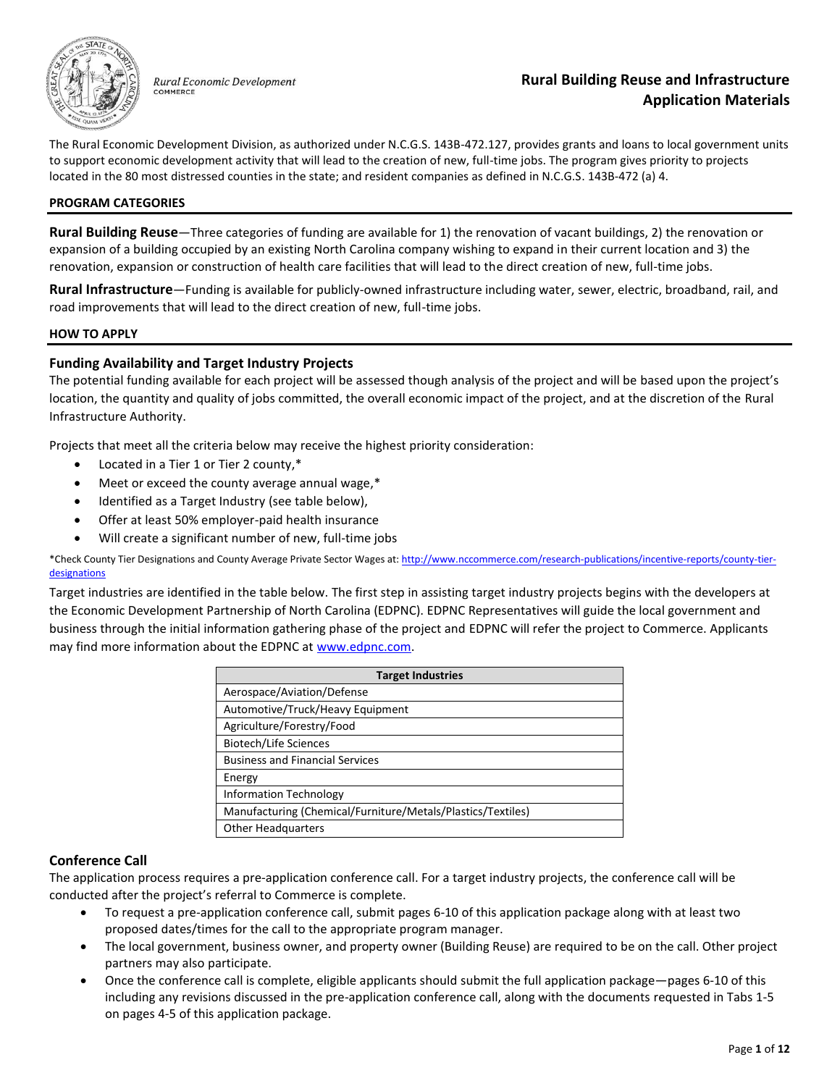

Rural Economic Development COMMERCE

The Rural Economic Development Division, as authorized under N.C.G.S. 143B-472.127, provides grants and loans to local government units to support economic development activity that will lead to the creation of new, full-time jobs. The program gives priority to projects located in the 80 most distressed counties in the state; and resident companies as defined in N.C.G.S. 143B-472 (a) 4.

#### **PROGRAM CATEGORIES**

**Rural Building Reuse**—Three categories of funding are available for 1) the renovation of vacant buildings, 2) the renovation or expansion of a building occupied by an existing North Carolina company wishing to expand in their current location and 3) the renovation, expansion or construction of health care facilities that will lead to the direct creation of new, full-time jobs.

**Rural Infrastructure**—Funding is available for publicly-owned infrastructure including water, sewer, electric, broadband, rail, and road improvements that will lead to the direct creation of new, full-time jobs.

#### **HOW TO APPLY**

## **Funding Availability and Target Industry Projects**

The potential funding available for each project will be assessed though analysis of the project and will be based upon the project's location, the quantity and quality of jobs committed, the overall economic impact of the project, and at the discretion of the Rural Infrastructure Authority.

Projects that meet all the criteria below may receive the highest priority consideration:

- Located in a Tier 1 or Tier 2 county,\*
- Meet or exceed the county average annual wage,\*
- Identified as a Target Industry (see table below),
- Offer at least 50% employer-paid health insurance
- Will create a significant number of new, full-time jobs

\*Check County Tier Designations and County Average Private Sector Wages at[: http://www.nccommerce.com/research-publications/incentive-reports/county-tier](http://www.nccommerce.com/research-publications/incentive-reports/county-tier-designations)**[designations](http://www.nccommerce.com/research-publications/incentive-reports/county-tier-designations)** 

Target industries are identified in the table below. The first step in assisting target industry projects begins with the developers at the Economic Development Partnership of North Carolina (EDPNC). EDPNC Representatives will guide the local government and business through the initial information gathering phase of the project and EDPNC will refer the project to Commerce. Applicants may find more information about the EDPNC at [www.edpnc.com.](http://www.edpnc.com/)

| <b>Target Industries</b>                                    |  |  |  |  |
|-------------------------------------------------------------|--|--|--|--|
| Aerospace/Aviation/Defense                                  |  |  |  |  |
| Automotive/Truck/Heavy Equipment                            |  |  |  |  |
| Agriculture/Forestry/Food                                   |  |  |  |  |
| Biotech/Life Sciences                                       |  |  |  |  |
| <b>Business and Financial Services</b>                      |  |  |  |  |
| Energy                                                      |  |  |  |  |
| <b>Information Technology</b>                               |  |  |  |  |
| Manufacturing (Chemical/Furniture/Metals/Plastics/Textiles) |  |  |  |  |
| <b>Other Headquarters</b>                                   |  |  |  |  |

## **Conference Call**

The application process requires a pre-application conference call. For a target industry projects, the conference call will be conducted after the project's referral to Commerce is complete.

- To request a pre-application conference call, submit pages 6-10 of this application package along with at least two proposed dates/times for the call to the appropriate program manager.
- The local government, business owner, and property owner (Building Reuse) are required to be on the call. Other project partners may also participate.
- Once the conference call is complete, eligible applicants should submit the full application package—pages 6-10 of this including any revisions discussed in the pre-application conference call, along with the documents requested in Tabs 1-5 on pages 4-5 of this application package.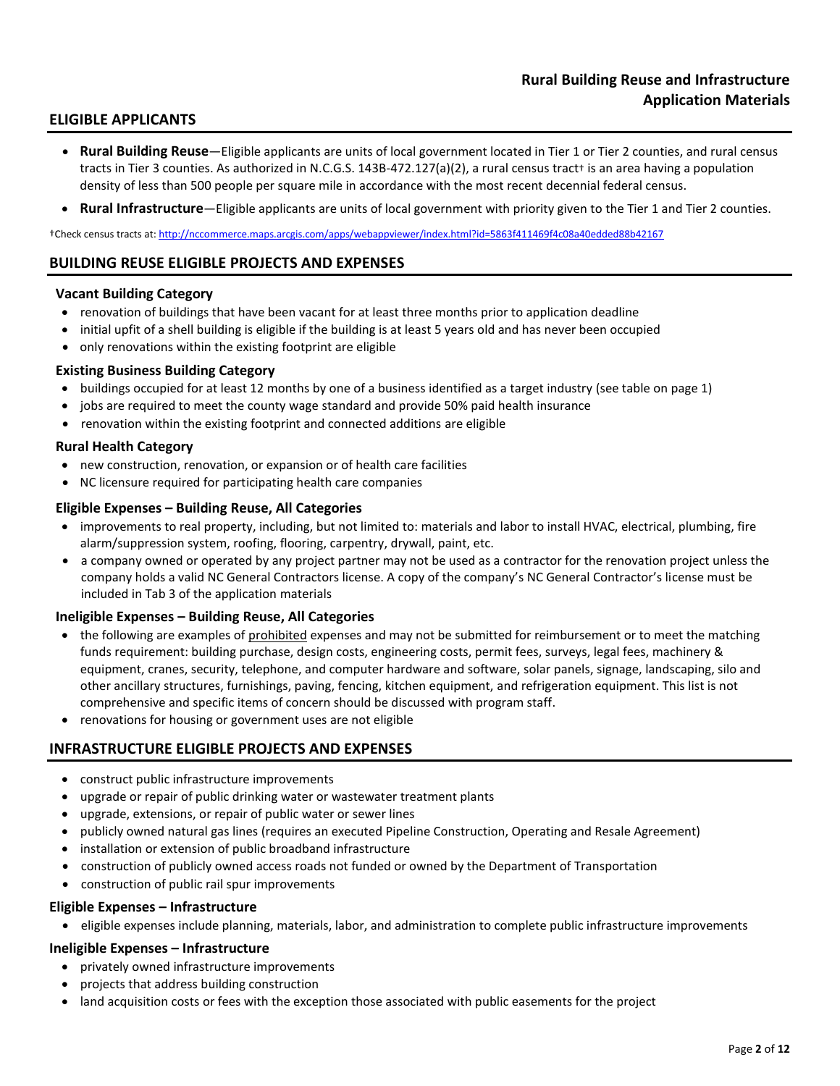# **ELIGIBLE APPLICANTS**

- **Rural Building Reuse**—Eligible applicants are units of local government located in Tier 1 or Tier 2 counties, and rural census tracts in Tier 3 counties. As authorized in N.C.G.S. 143B-472.127(a)(2), a rural census tract+ is an area having a population density of less than 500 people per square mile in accordance with the most recent decennial federal census.
- **Rural Infrastructure**—Eligible applicants are units of local government with priority given to the Tier 1 and Tier 2 counties.

†Check census tracts at:<http://nccommerce.maps.arcgis.com/apps/webappviewer/index.html?id=5863f411469f4c08a40edded88b42167>

## **BUILDING REUSE ELIGIBLE PROJECTS AND EXPENSES**

#### **Vacant Building Category**

- renovation of buildings that have been vacant for at least three months prior to application deadline
- initial upfit of a shell building is eligible if the building is at least 5 years old and has never been occupied
- only renovations within the existing footprint are eligible

## **Existing Business Building Category**

- buildings occupied for at least 12 months by one of a business identified as a target industry (see table on page 1)
- jobs are required to meet the county wage standard and provide 50% paid health insurance
- renovation within the existing footprint and connected additions are eligible

#### **Rural Health Category**

- new construction, renovation, or expansion or of health care facilities
- NC licensure required for participating health care companies

#### **Eligible Expenses – Building Reuse, All Categories**

- improvements to real property, including, but not limited to: materials and labor to install HVAC, electrical, plumbing, fire alarm/suppression system, roofing, flooring, carpentry, drywall, paint, etc.
- a company owned or operated by any project partner may not be used as a contractor for the renovation project unless the company holds a valid NC General Contractors license. A copy of the company's NC General Contractor's license must be included in Tab 3 of the application materials

#### **Ineligible Expenses – Building Reuse, All Categories**

- the following are examples of prohibited expenses and may not be submitted for reimbursement or to meet the matching funds requirement: building purchase, design costs, engineering costs, permit fees, surveys, legal fees, machinery & equipment, cranes, security, telephone, and computer hardware and software, solar panels, signage, landscaping, silo and other ancillary structures, furnishings, paving, fencing, kitchen equipment, and refrigeration equipment. This list is not comprehensive and specific items of concern should be discussed with program staff.
- renovations for housing or government uses are not eligible

## **INFRASTRUCTURE ELIGIBLE PROJECTS AND EXPENSES**

- construct public infrastructure improvements
- upgrade or repair of public drinking water or wastewater treatment plants
- upgrade, extensions, or repair of public water or sewer lines
- publicly owned natural gas lines (requires an executed Pipeline Construction, Operating and Resale Agreement)
- installation or extension of public broadband infrastructure
- construction of publicly owned access roads not funded or owned by the Department of Transportation
- construction of public rail spur improvements

#### **Eligible Expenses – Infrastructure**

• eligible expenses include planning, materials, labor, and administration to complete public infrastructure improvements

#### **Ineligible Expenses – Infrastructure**

- privately owned infrastructure improvements
- projects that address building construction
- land acquisition costs or fees with the exception those associated with public easements for the project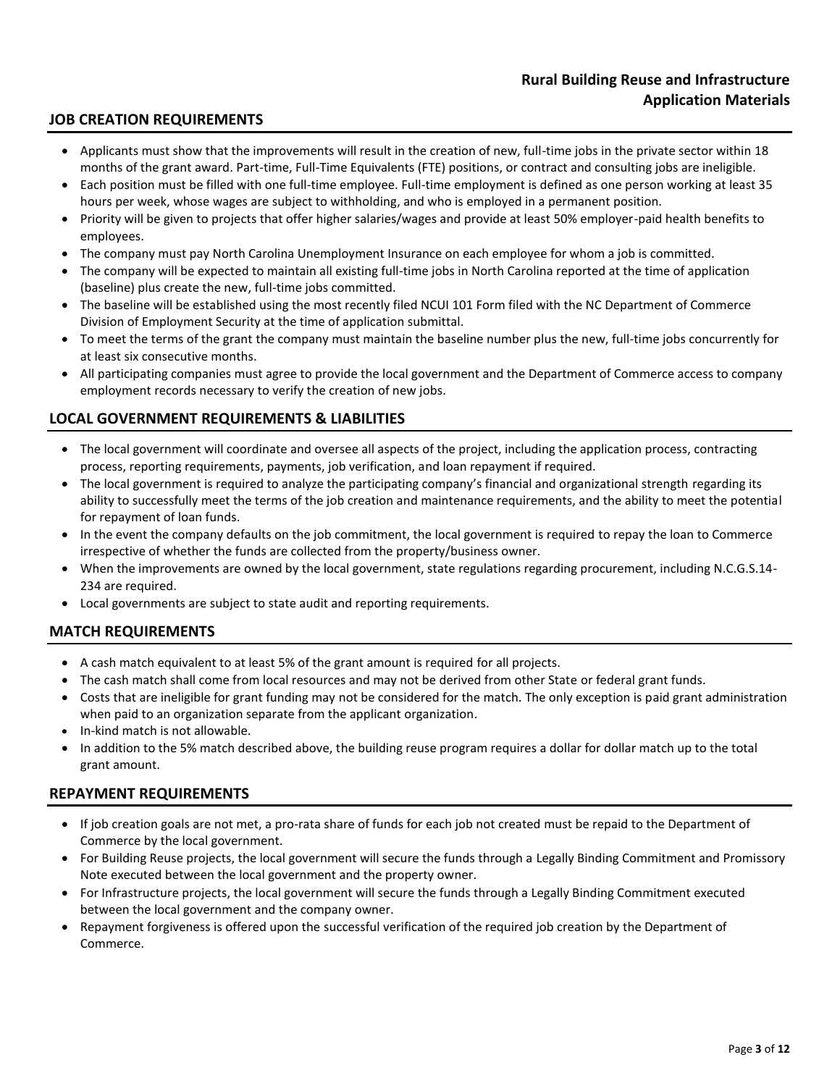# **JOB CREATION REQUIREMENTS**

- Applicants must show that the improvements will result in the creation of new, full-time jobs in the private sector within 18 months of the grant award. Part-time, Full-Time Equivalents (FTE) positions, or contract and consulting jobs are ineligible.
- Each position must be filled with one full-time employee. Full-time employment is defined as one person working at least 35 hours per week, whose wages are subject to withholding, and who is employed in a permanent position.
- Priority will be given to projects that offer higher salaries/wages and provide at least 50% employer-paid health benefits to employees.
- The company must pay North Carolina Unemployment Insurance on each employee for whom a job is committed.
- The company will be expected to maintain all existing full-time jobs in North Carolina reported at the time of application (baseline) plus create the new, full-time jobs committed.
- The baseline will be established using the most recently filed NCUI 101 Form filed with the NC Department of Commerce Division of Employment Security at the time of application submittal.
- To meet the terms of the grant the company must maintain the baseline number plus the new, full-time jobs concurrently for at least six consecutive months.
- All participating companies must agree to provide the local government and the Department of Commerce access to company employment records necessary to verify the creation of new jobs.

# **LOCAL GOVERNMENT REQUIREMENTS & LIABILITIES**

- The local government will coordinate and oversee all aspects of the project, including the application process, contracting process, reporting requirements, payments, job verification, and loan repayment if required.
- The local government is required to analyze the participating company's financial and organizational strength regarding its ability to successfully meet the terms of the job creation and maintenance requirements, and the ability to meet the potential for repayment of loan funds.
- In the event the company defaults on the job commitment, the local government is required to repay the loan to Commerce irrespective of whether the funds are collected from the property/business owner.
- When the improvements are owned by the local government, state regulations regarding procurement, including N.C.G.S.14- 234 are required.
- Local governments are subject to state audit and reporting requirements.

# **MATCH REQUIREMENTS**

- A cash match equivalent to at least 5% of the grant amount is required for all projects.
- The cash match shall come from local resources and may not be derived from other State or federal grant funds.
- Costs that are ineligible for grant funding may not be considered for the match. The only exception is paid grant administration when paid to an organization separate from the applicant organization.
- In-kind match is not allowable.
- In addition to the 5% match described above, the building reuse program requires a dollar for dollar match up to the total grant amount.

## **REPAYMENT REQUIREMENTS**

- If job creation goals are not met, a pro-rata share of funds for each job not created must be repaid to the Department of Commerce by the local government.
- For Building Reuse projects, the local government will secure the funds through a Legally Binding Commitment and Promissory Note executed between the local government and the property owner.
- For Infrastructure projects, the local government will secure the funds through a Legally Binding Commitment executed between the local government and the company owner.
- Repayment forgiveness is offered upon the successful verification of the required job creation by the Department of Commerce.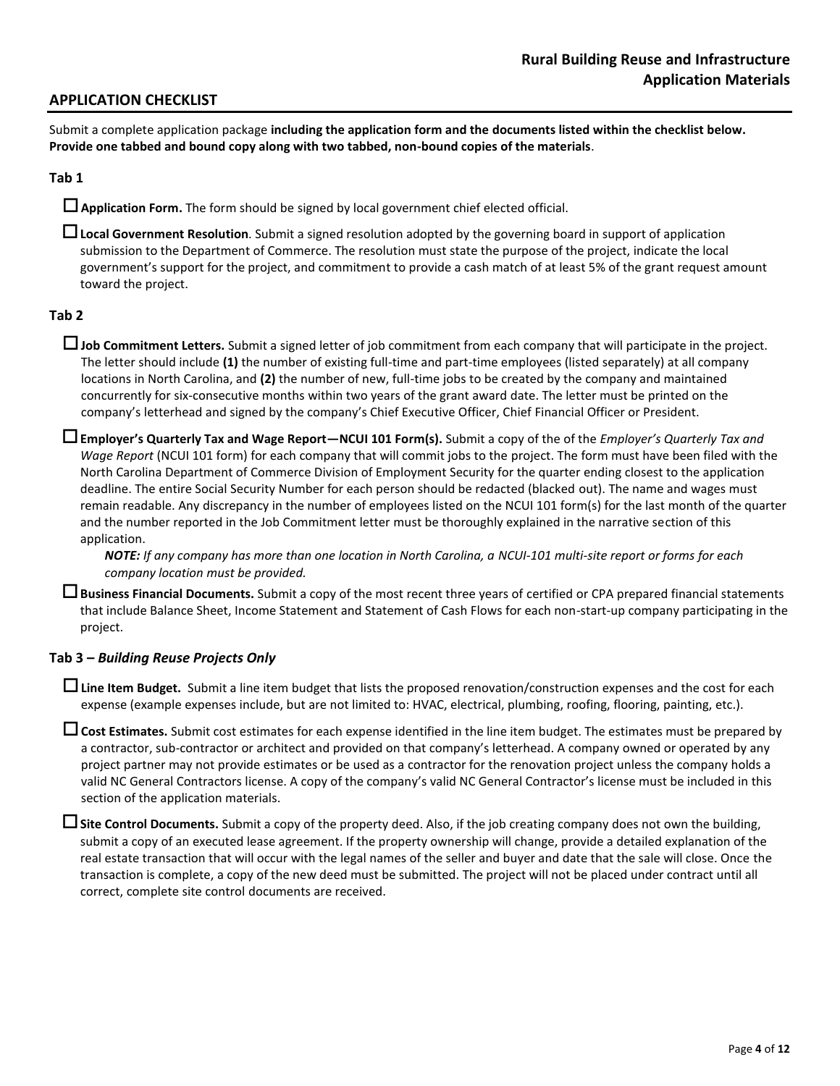# **APPLICATION CHECKLIST**

Submit a complete application package **including the application form and the documents listed within the checklist below. Provide one tabbed and bound copy along with two tabbed, non-bound copies of the materials**.

## **Tab 1**

**Application Form.** The form should be signed by local government chief elected official.

**Local Government Resolution**. Submit a signed resolution adopted by the governing board in support of application submission to the Department of Commerce. The resolution must state the purpose of the project, indicate the local government's support for the project, and commitment to provide a cash match of at least 5% of the grant request amount toward the project.

## **Tab 2**

- **Job Commitment Letters.** Submit a signed letter of job commitment from each company that will participate in the project. The letter should include **(1)** the number of existing full-time and part-time employees (listed separately) at all company locations in North Carolina, and **(2)** the number of new, full-time jobs to be created by the company and maintained concurrently for six-consecutive months within two years of the grant award date. The letter must be printed on the company's letterhead and signed by the company's Chief Executive Officer, Chief Financial Officer or President.
- **Employer's Quarterly Tax and Wage Report—NCUI 101 Form(s).** Submit a copy of the of the *Employer's Quarterly Tax and Wage Report* (NCUI 101 form) for each company that will commit jobs to the project. The form must have been filed with the North Carolina Department of Commerce Division of Employment Security for the quarter ending closest to the application deadline. The entire Social Security Number for each person should be redacted (blacked out). The name and wages must remain readable. Any discrepancy in the number of employees listed on the NCUI 101 form(s) for the last month of the quarter and the number reported in the Job Commitment letter must be thoroughly explained in the narrative section of this application.

*NOTE: If any company has more than one location in North Carolina, a NCUI-101 multi-site report or forms for each company location must be provided.*

**Business Financial Documents.** Submit a copy of the most recent three years of certified or CPA prepared financial statements that include Balance Sheet, Income Statement and Statement of Cash Flows for each non-start-up company participating in the project.

#### **Tab 3 –** *Building Reuse Projects Only*

**Line Item Budget.** Submit a line item budget that lists the proposed renovation/construction expenses and the cost for each expense (example expenses include, but are not limited to: HVAC, electrical, plumbing, roofing, flooring, painting, etc.).

**Cost Estimates.** Submit cost estimates for each expense identified in the line item budget. The estimates must be prepared by a contractor, sub-contractor or architect and provided on that company's letterhead. A company owned or operated by any project partner may not provide estimates or be used as a contractor for the renovation project unless the company holds a valid NC General Contractors license. A copy of the company's valid NC General Contractor's license must be included in this section of the application materials.

**Site Control Documents.** Submit a copy of the property deed. Also, if the job creating company does not own the building, submit a copy of an executed lease agreement. If the property ownership will change, provide a detailed explanation of the real estate transaction that will occur with the legal names of the seller and buyer and date that the sale will close. Once the transaction is complete, a copy of the new deed must be submitted. The project will not be placed under contract until all correct, complete site control documents are received.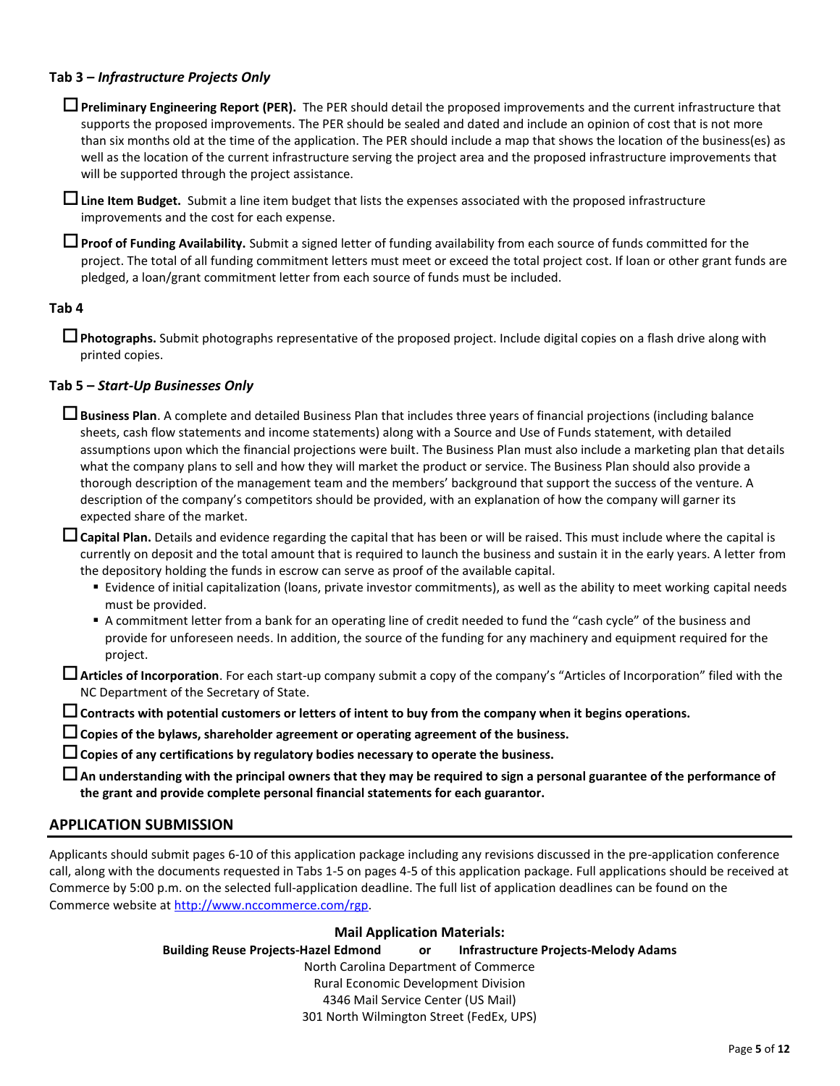## **Tab 3 –** *Infrastructure Projects Only*

**Preliminary Engineering Report (PER).** The PER should detail the proposed improvements and the current infrastructure that supports the proposed improvements. The PER should be sealed and dated and include an opinion of cost that is not more than six months old at the time of the application. The PER should include a map that shows the location of the business(es) as well as the location of the current infrastructure serving the project area and the proposed infrastructure improvements that will be supported through the project assistance.

**Line Item Budget.** Submit a line item budget that lists the expenses associated with the proposed infrastructure improvements and the cost for each expense.

**Proof of Funding Availability.** Submit a signed letter of funding availability from each source of funds committed for the project. The total of all funding commitment letters must meet or exceed the total project cost. If loan or other grant funds are pledged, a loan/grant commitment letter from each source of funds must be included.

#### **Tab 4**

**Photographs.** Submit photographs representative of the proposed project. Include digital copies on a flash drive along with printed copies.

## **Tab 5 –** *Start-Up Businesses Only*

**Business Plan**. A complete and detailed Business Plan that includes three years of financial projections (including balance sheets, cash flow statements and income statements) along with a Source and Use of Funds statement, with detailed assumptions upon which the financial projections were built. The Business Plan must also include a marketing plan that details what the company plans to sell and how they will market the product or service. The Business Plan should also provide a thorough description of the management team and the members' background that support the success of the venture. A description of the company's competitors should be provided, with an explanation of how the company will garner its expected share of the market.

**Capital Plan.** Details and evidence regarding the capital that has been or will be raised. This must include where the capital is currently on deposit and the total amount that is required to launch the business and sustain it in the early years. A letter from the depository holding the funds in escrow can serve as proof of the available capital.

- Evidence of initial capitalization (loans, private investor commitments), as well as the ability to meet working capital needs must be provided.
- A commitment letter from a bank for an operating line of credit needed to fund the "cash cycle" of the business and provide for unforeseen needs. In addition, the source of the funding for any machinery and equipment required for the project.

**Articles of Incorporation**. For each start-up company submit a copy of the company's "Articles of Incorporation" filed with the NC Department of the Secretary of State.

**Contracts with potential customers or letters of intent to buy from the company when it begins operations.** 

**Copies of the bylaws, shareholder agreement or operating agreement of the business.**

**Copies of any certifications by regulatory bodies necessary to operate the business.**

**An understanding with the principal owners that they may be required to sign a personal guarantee of the performance of the grant and provide complete personal financial statements for each guarantor.** 

## **APPLICATION SUBMISSION**

Applicants should submit pages 6-10 of this application package including any revisions discussed in the pre-application conference call, along with the documents requested in Tabs 1-5 on pages 4-5 of this application package. Full applications should be received at Commerce by 5:00 p.m. on the selected full-application deadline. The full list of application deadlines can be found on the Commerce website at [http://www.nccommerce.com/rgp.](http://www.nccommerce.com/rgp)

#### **Mail Application Materials:**

**Building Reuse Projects-Hazel Edmond or Infrastructure Projects-Melody Adams**

North Carolina Department of Commerce Rural Economic Development Division

4346 Mail Service Center (US Mail)

301 North Wilmington Street (FedEx, UPS)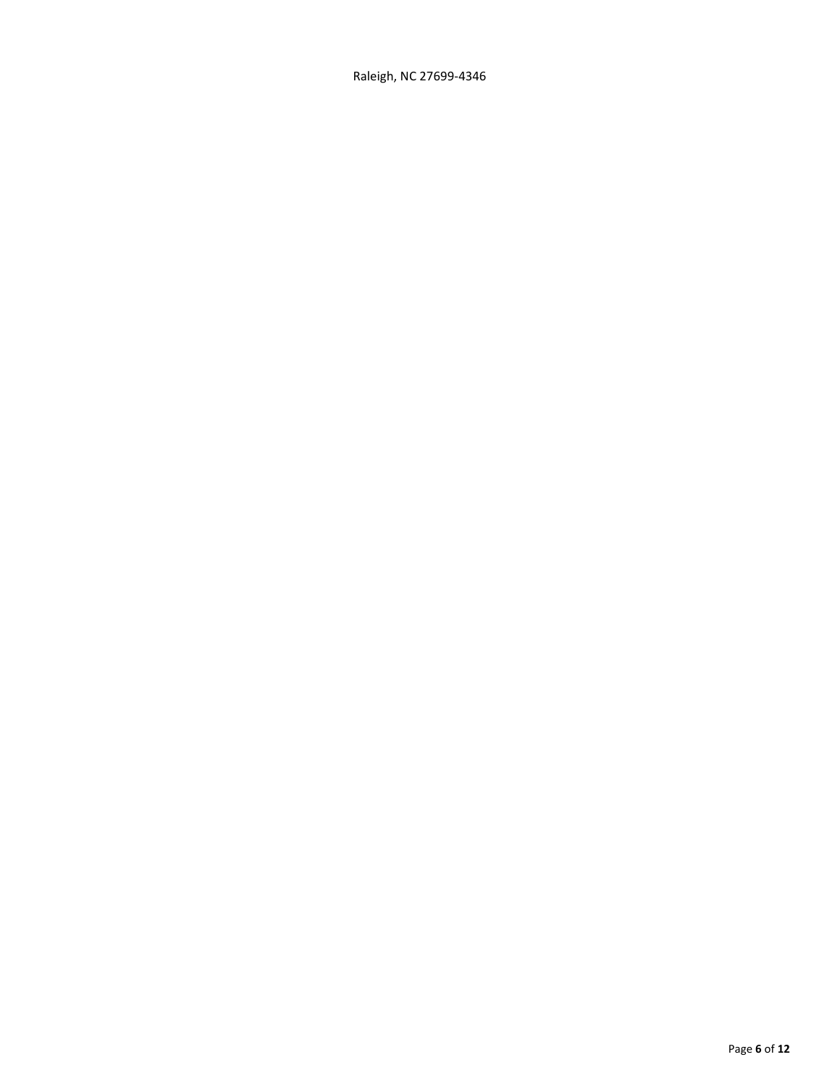Raleigh, NC 27699-4346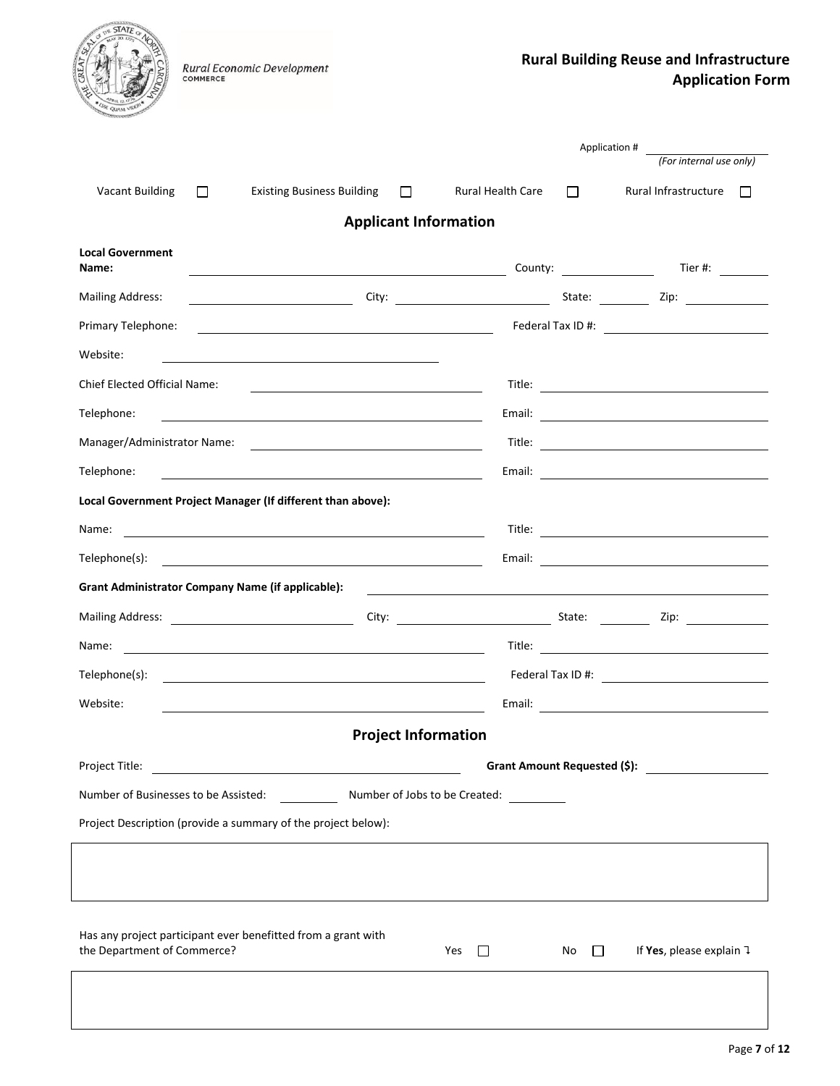| <b>Rural Building Reuse and Infrastructure</b> |                         |
|------------------------------------------------|-------------------------|
|                                                | <b>Application Form</b> |

|                                  | Rural Economic Development<br>COMMERCE                                                                                 |                                                                                                                       |                                                              | <b>Rural Building Reuse and Infrastruct</b><br><b>Application Fo</b> |
|----------------------------------|------------------------------------------------------------------------------------------------------------------------|-----------------------------------------------------------------------------------------------------------------------|--------------------------------------------------------------|----------------------------------------------------------------------|
|                                  |                                                                                                                        |                                                                                                                       |                                                              | Application #                                                        |
|                                  |                                                                                                                        |                                                                                                                       |                                                              | (For internal use only)                                              |
| <b>Vacant Building</b>           | <b>Existing Business Building</b><br>$\Box$                                                                            | $\Box$                                                                                                                | <b>Rural Health Care</b><br>$\Box$                           | Rural Infrastructure<br>$\perp$                                      |
|                                  |                                                                                                                        | <b>Applicant Information</b>                                                                                          |                                                              |                                                                      |
| <b>Local Government</b><br>Name: |                                                                                                                        |                                                                                                                       |                                                              |                                                                      |
| <b>Mailing Address:</b>          |                                                                                                                        |                                                                                                                       |                                                              |                                                                      |
| Primary Telephone:               | <u> 1989 - Johann Stoff, deutscher Stoff, der Stoff, der Stoff, der Stoff, der Stoff, der Stoff, der Stoff, der S</u>  |                                                                                                                       |                                                              |                                                                      |
| Website:                         | <u> 1989 - Johann Barbara, martin amerikan basar dan berasal dalam basa dalam basar dalam basar dalam basa dalam</u>   |                                                                                                                       |                                                              |                                                                      |
| Chief Elected Official Name:     |                                                                                                                        | <u> 1989 - Johann Barn, mars eta bainar eta bat erroman erroman erroman erroman erroman erroman erroman erroman e</u> |                                                              |                                                                      |
| Telephone:                       |                                                                                                                        |                                                                                                                       |                                                              |                                                                      |
|                                  |                                                                                                                        |                                                                                                                       |                                                              |                                                                      |
| Telephone:                       | <u> 1989 - Jan Samuel Barbara, margaret eta idazlea (h. 1989).</u>                                                     |                                                                                                                       |                                                              |                                                                      |
|                                  | Local Government Project Manager (If different than above):                                                            |                                                                                                                       |                                                              |                                                                      |
| Name:                            | <u> 1980 - Johann Barnett, fransk politik (f. 1980)</u>                                                                |                                                                                                                       |                                                              |                                                                      |
| Telephone(s):                    | <u> Liste de la construcción de la construcción de la construcción de la construcción de la construcción de la c</u>   |                                                                                                                       |                                                              |                                                                      |
|                                  | <b>Grant Administrator Company Name (if applicable):</b>                                                               |                                                                                                                       | <u> 1980 - Johann Stein, mars an de Britannich (b. 1980)</u> |                                                                      |
|                                  | Mailing Address: National Address and Address and Address and Address and Address and Address and Address and A        |                                                                                                                       |                                                              |                                                                      |
| Name:                            |                                                                                                                        |                                                                                                                       | Title:                                                       |                                                                      |
| Telephone(s):                    |                                                                                                                        |                                                                                                                       |                                                              | Federal Tax ID #: \\\essimal Tax ID #: \\\essimal Tax ID #:          |
| Website:                         | <u> 1989 - Johann Stoff, deutscher Stoffen und der Stoffen und der Stoffen und der Stoffen und der Stoffen und der</u> |                                                                                                                       |                                                              |                                                                      |
|                                  |                                                                                                                        | <b>Project Information</b>                                                                                            |                                                              |                                                                      |
| Project Title:                   | <u> 1980 - Johann Barn, mars ann an t-Amhain Aonaich an t-Aonaich an t-Aonaich ann an t-Aonaich ann an t-Aonaich</u>   |                                                                                                                       |                                                              |                                                                      |
|                                  | Number of Businesses to be Assisted: Number of Jobs to be Created: Number of Jobs to be Created:                       |                                                                                                                       |                                                              |                                                                      |
|                                  | Project Description (provide a summary of the project below):                                                          |                                                                                                                       |                                                              |                                                                      |
|                                  |                                                                                                                        |                                                                                                                       |                                                              |                                                                      |
|                                  |                                                                                                                        |                                                                                                                       |                                                              |                                                                      |
| the Department of Commerce?      | Has any project participant ever benefitted from a grant with                                                          |                                                                                                                       | Yes $\Box$<br>No II                                          | If Yes, please explain $\exists$                                     |
|                                  |                                                                                                                        |                                                                                                                       |                                                              |                                                                      |

THE STATE OF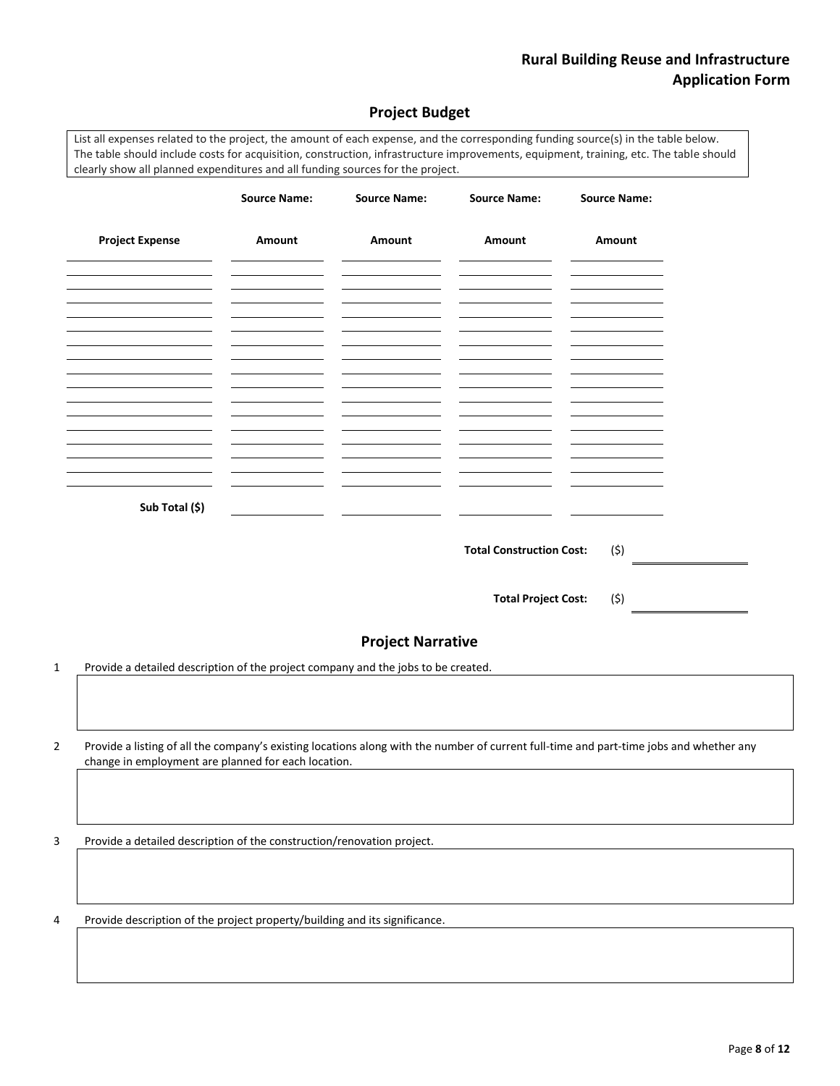# **Project Budget**

List all expenses related to the project, the amount of each expense, and the corresponding funding source(s) in the table below. The table should include costs for acquisition, construction, infrastructure improvements, equipment, training, etc. The table should clearly show all planned expenditures and all funding sources for the project.

|   |                                                                                                                                                                                                | <b>Source Name:</b> | <b>Source Name:</b>            | <b>Source Name:</b>             | <b>Source Name:</b> |  |
|---|------------------------------------------------------------------------------------------------------------------------------------------------------------------------------------------------|---------------------|--------------------------------|---------------------------------|---------------------|--|
|   | <b>Project Expense</b><br><u> 1989 - Johann Barn, mars ann an t-</u>                                                                                                                           | Amount              | Amount                         | Amount                          | Amount              |  |
|   | <u> 1989 - Johann Barn, mars eta bainar eta idazlea (</u>                                                                                                                                      |                     | and the control of the control |                                 |                     |  |
|   | the control of the control of the<br><u> 1989 - Johann Barbara, martin a</u>                                                                                                                   |                     |                                |                                 |                     |  |
|   |                                                                                                                                                                                                |                     |                                |                                 |                     |  |
|   | Sub Total (\$)                                                                                                                                                                                 |                     |                                |                                 |                     |  |
|   |                                                                                                                                                                                                |                     |                                | <b>Total Construction Cost:</b> | (5)                 |  |
|   |                                                                                                                                                                                                |                     |                                | <b>Total Project Cost:</b>      | (\$)                |  |
|   |                                                                                                                                                                                                |                     | <b>Project Narrative</b>       |                                 |                     |  |
| 1 | Provide a detailed description of the project company and the jobs to be created.                                                                                                              |                     |                                |                                 |                     |  |
| 2 | Provide a listing of all the company's existing locations along with the number of current full-time and part-time jobs and whether any<br>change in employment are planned for each location. |                     |                                |                                 |                     |  |
| 3 | Provide a detailed description of the construction/renovation project.                                                                                                                         |                     |                                |                                 |                     |  |
|   |                                                                                                                                                                                                |                     |                                |                                 |                     |  |

4 Provide description of the project property/building and its significance.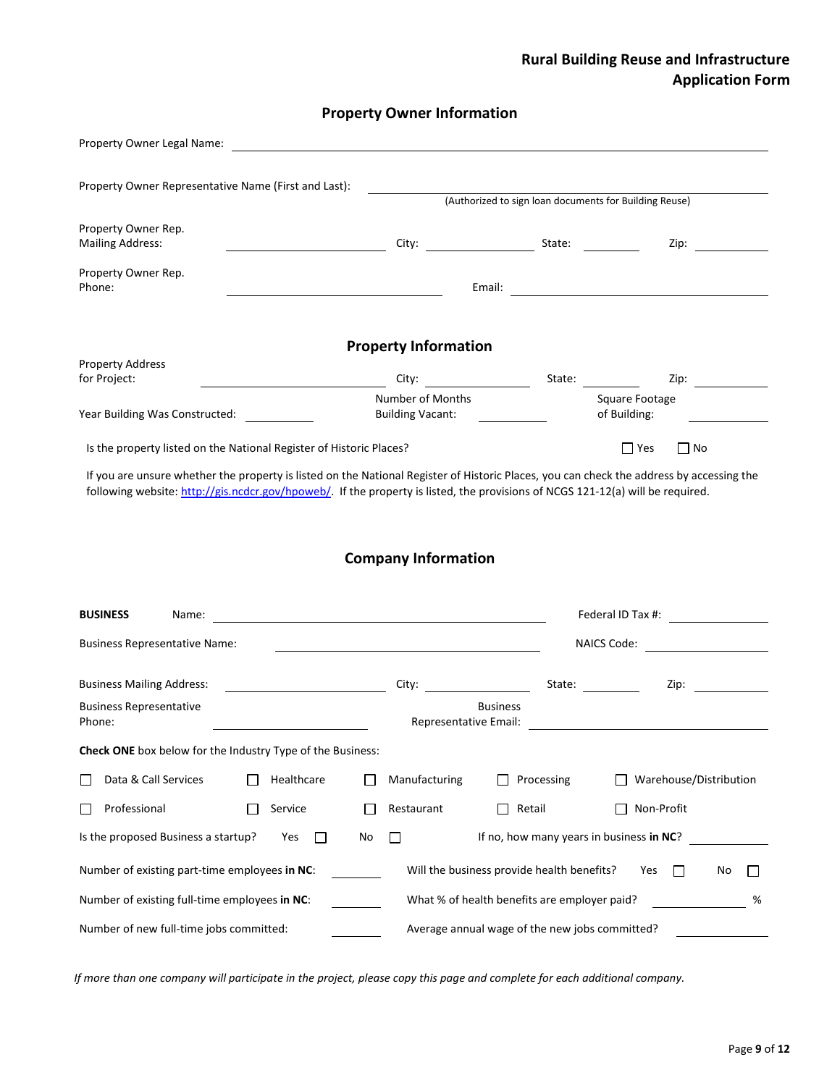# **Property Owner Information**

| Property Owner Legal Name:                                                                                     |            |                                                                                                                                                                                                                                |                                              |                                                                                                                                                                                                                                        |
|----------------------------------------------------------------------------------------------------------------|------------|--------------------------------------------------------------------------------------------------------------------------------------------------------------------------------------------------------------------------------|----------------------------------------------|----------------------------------------------------------------------------------------------------------------------------------------------------------------------------------------------------------------------------------------|
| Property Owner Representative Name (First and Last):<br>(Authorized to sign loan documents for Building Reuse) |            |                                                                                                                                                                                                                                |                                              |                                                                                                                                                                                                                                        |
| Property Owner Rep.<br><b>Mailing Address:</b>                                                                 |            |                                                                                                                                                                                                                                |                                              | Zip:                                                                                                                                                                                                                                   |
| Property Owner Rep.<br>Phone:                                                                                  |            |                                                                                                                                                                                                                                | Email:                                       |                                                                                                                                                                                                                                        |
|                                                                                                                |            | <b>Property Information</b>                                                                                                                                                                                                    |                                              |                                                                                                                                                                                                                                        |
| <b>Property Address</b>                                                                                        |            |                                                                                                                                                                                                                                |                                              |                                                                                                                                                                                                                                        |
| for Project:                                                                                                   |            | City: the contract of the contract of the contract of the contract of the contract of the contract of the contract of the contract of the contract of the contract of the contract of the contract of the contract of the cont | State:                                       | Zip:                                                                                                                                                                                                                                   |
| Year Building Was Constructed:                                                                                 |            | Number of Months<br><b>Building Vacant:</b>                                                                                                                                                                                    |                                              | Square Footage<br>of Building:                                                                                                                                                                                                         |
| Is the property listed on the National Register of Historic Places?                                            |            |                                                                                                                                                                                                                                |                                              | $\Box$ Yes<br>$\Box$ No                                                                                                                                                                                                                |
| <b>BUSINESS</b><br>Name:                                                                                       |            | <b>Company Information</b>                                                                                                                                                                                                     |                                              | Federal ID Tax #:                                                                                                                                                                                                                      |
| <b>Business Representative Name:</b>                                                                           |            |                                                                                                                                                                                                                                |                                              | <b>NAICS Code:</b>                                                                                                                                                                                                                     |
|                                                                                                                |            |                                                                                                                                                                                                                                |                                              |                                                                                                                                                                                                                                        |
| <b>Business Mailing Address:</b>                                                                               |            | City: the contract of the contract of the contract of the contract of the contract of the contract of the contract of the contract of the contract of the contract of the contract of the contract of the contract of the cont |                                              | Zip:<br>State: and the state of the state of the state of the state of the state of the state of the state of the state of the state of the state of the state of the state of the state of the state of the state of the state of the |
| <b>Business Representative</b><br>Phone:                                                                       |            | Representative Email:                                                                                                                                                                                                          | <b>Business</b>                              |                                                                                                                                                                                                                                        |
| Check ONE box below for the Industry Type of the Business:                                                     |            |                                                                                                                                                                                                                                |                                              |                                                                                                                                                                                                                                        |
| Data & Call Services                                                                                           | Healthcare | Manufacturing                                                                                                                                                                                                                  | Processing                                   | Warehouse/Distribution                                                                                                                                                                                                                 |
| Professional                                                                                                   | Service    | Restaurant                                                                                                                                                                                                                     | Retail                                       | Non-Profit                                                                                                                                                                                                                             |
| Is the proposed Business a startup?                                                                            | Yes        | No<br>$\mathsf{L}$                                                                                                                                                                                                             | If no, how many years in business in NC?     |                                                                                                                                                                                                                                        |
| Number of existing part-time employees in NC:<br>Will the business provide health benefits?<br>Yes<br>No       |            |                                                                                                                                                                                                                                |                                              |                                                                                                                                                                                                                                        |
|                                                                                                                |            |                                                                                                                                                                                                                                |                                              |                                                                                                                                                                                                                                        |
| Number of existing full-time employees in NC:                                                                  |            |                                                                                                                                                                                                                                | What % of health benefits are employer paid? | %                                                                                                                                                                                                                                      |

*If more than one company will participate in the project, please copy this page and complete for each additional company.*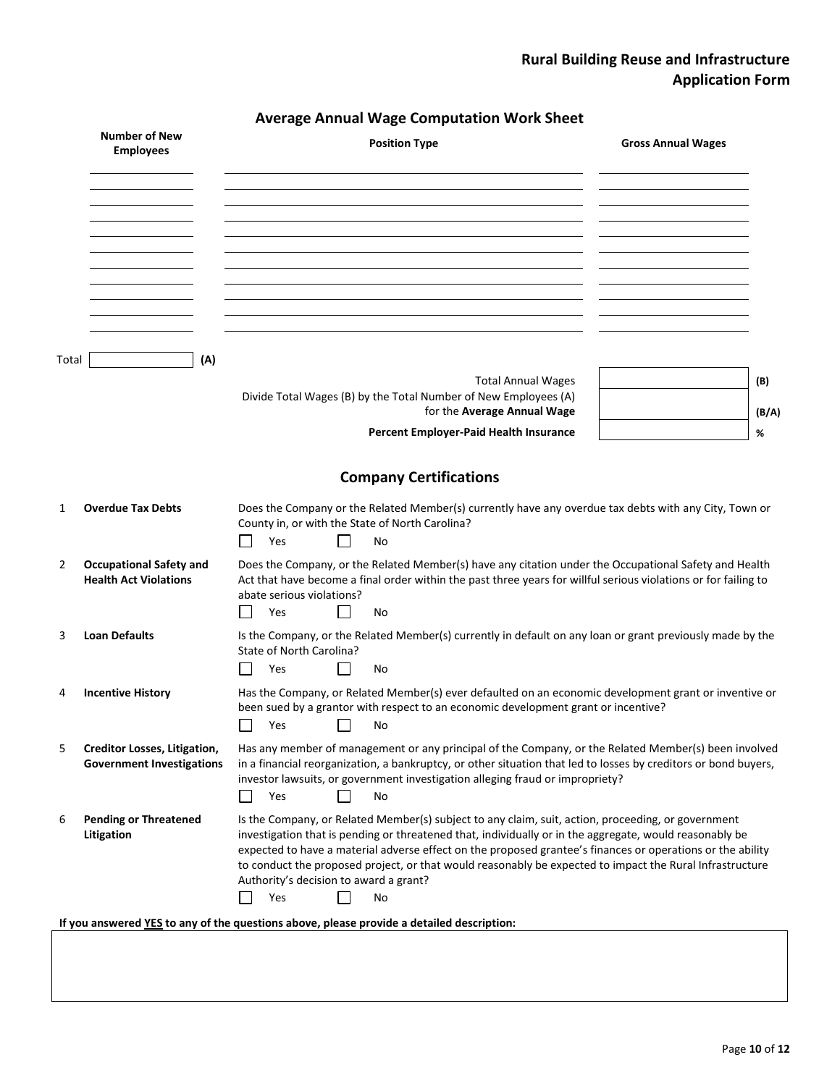| <b>Average Annual Wage Computation Work Sheet</b> |  |
|---------------------------------------------------|--|
|---------------------------------------------------|--|

|       | <b>Number of New</b><br><b>Employees</b>                                | <b>Position Type</b>                                                                                                                                                                                                                                                                                                                                                                                                                                                                           | <b>Gross Annual Wages</b> |
|-------|-------------------------------------------------------------------------|------------------------------------------------------------------------------------------------------------------------------------------------------------------------------------------------------------------------------------------------------------------------------------------------------------------------------------------------------------------------------------------------------------------------------------------------------------------------------------------------|---------------------------|
|       |                                                                         |                                                                                                                                                                                                                                                                                                                                                                                                                                                                                                |                           |
|       |                                                                         |                                                                                                                                                                                                                                                                                                                                                                                                                                                                                                |                           |
|       |                                                                         |                                                                                                                                                                                                                                                                                                                                                                                                                                                                                                |                           |
| Total | (A)                                                                     | <b>Total Annual Wages</b><br>Divide Total Wages (B) by the Total Number of New Employees (A)<br>for the Average Annual Wage                                                                                                                                                                                                                                                                                                                                                                    | (B)<br>(B/A)              |
|       |                                                                         | Percent Employer-Paid Health Insurance                                                                                                                                                                                                                                                                                                                                                                                                                                                         | %                         |
|       |                                                                         | <b>Company Certifications</b>                                                                                                                                                                                                                                                                                                                                                                                                                                                                  |                           |
| 1     | <b>Overdue Tax Debts</b>                                                | Does the Company or the Related Member(s) currently have any overdue tax debts with any City, Town or<br>County in, or with the State of North Carolina?<br>Yes<br>$\mathsf{L}$<br>$\blacksquare$<br>No                                                                                                                                                                                                                                                                                        |                           |
| 2     | <b>Occupational Safety and</b><br><b>Health Act Violations</b>          | Does the Company, or the Related Member(s) have any citation under the Occupational Safety and Health<br>Act that have become a final order within the past three years for willful serious violations or for failing to<br>abate serious violations?<br>Yes<br>No                                                                                                                                                                                                                             |                           |
| 3     | <b>Loan Defaults</b>                                                    | Is the Company, or the Related Member(s) currently in default on any loan or grant previously made by the<br>State of North Carolina?<br>Yes<br>$\sim$<br>No<br>$\mathcal{L}$                                                                                                                                                                                                                                                                                                                  |                           |
| 4     | <b>Incentive History</b>                                                | Has the Company, or Related Member(s) ever defaulted on an economic development grant or inventive or<br>been sued by a grantor with respect to an economic development grant or incentive?<br>Yes<br>No                                                                                                                                                                                                                                                                                       |                           |
| 5     | <b>Creditor Losses, Litigation,</b><br><b>Government Investigations</b> | Has any member of management or any principal of the Company, or the Related Member(s) been involved<br>in a financial reorganization, a bankruptcy, or other situation that led to losses by creditors or bond buyers,<br>investor lawsuits, or government investigation alleging fraud or impropriety?<br>Yes<br>$\overline{\phantom{0}}$<br>$\Box$<br>No                                                                                                                                    |                           |
| 6     | <b>Pending or Threatened</b><br>Litigation                              | Is the Company, or Related Member(s) subject to any claim, suit, action, proceeding, or government<br>investigation that is pending or threatened that, individually or in the aggregate, would reasonably be<br>expected to have a material adverse effect on the proposed grantee's finances or operations or the ability<br>to conduct the proposed project, or that would reasonably be expected to impact the Rural Infrastructure<br>Authority's decision to award a grant?<br>Yes<br>No |                           |
|       |                                                                         | If you answered YES to any of the questions above, please provide a detailed description:                                                                                                                                                                                                                                                                                                                                                                                                      |                           |
|       |                                                                         |                                                                                                                                                                                                                                                                                                                                                                                                                                                                                                |                           |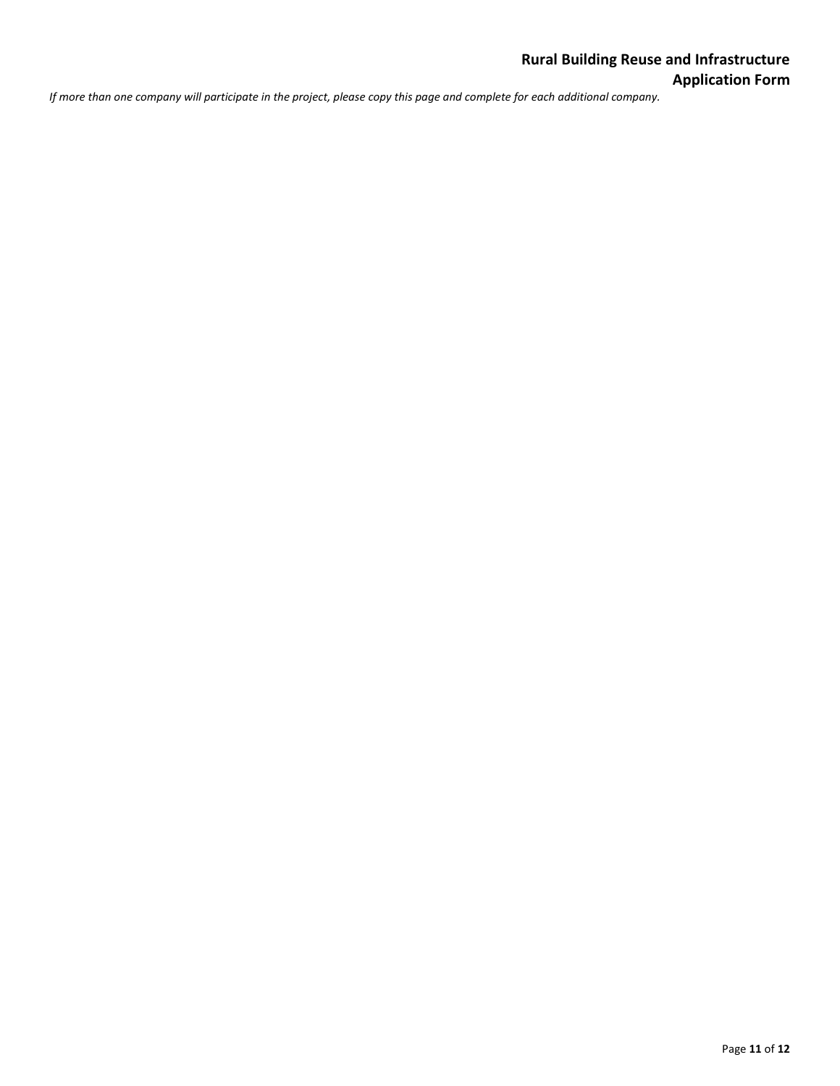*If more than one company will participate in the project, please copy this page and complete for each additional company.*